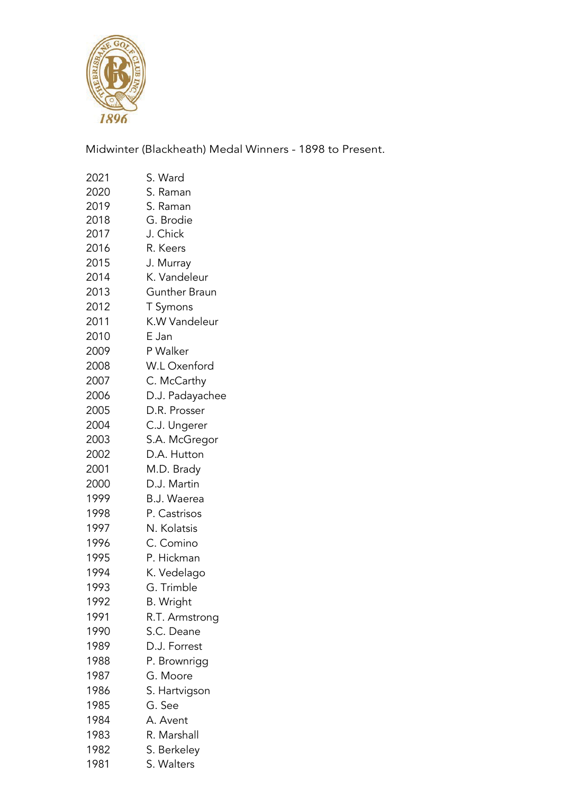

Midwinter (Blackheath) Medal Winners - 1898 to Present.

| 2021 | S. Ward            |
|------|--------------------|
| 2020 | S. Raman           |
| 2019 | S. Raman           |
| 2018 | G. Brodie          |
| 2017 | J. Chick           |
| 2016 | R. Keers           |
| 2015 | J. Murray          |
| 2014 | K. Vandeleur       |
| 2013 | Gunther Braun      |
| 2012 | T Symons           |
| 2011 | K.W Vandeleur      |
| 2010 | E Jan              |
| 2009 | P Walker           |
| 2008 | W.L Oxenford       |
| 2007 | C. McCarthy        |
| 2006 | D.J. Padayachee    |
| 2005 | D.R. Prosser       |
| 2004 | C.J. Ungerer       |
| 2003 | S.A. McGregor      |
| 2002 | D.A. Hutton        |
| 2001 | M.D. Brady         |
| 2000 | D.J. Martin        |
| 1999 | <b>B.J. Waerea</b> |
| 1998 | P. Castrisos       |
| 1997 | N. Kolatsis        |
| 1996 | C. Comino          |
| 1995 | P. Hickman         |
| 1994 | K. Vedelago        |
| 1993 | G. Trimble         |
| 1992 | <b>B.</b> Wright   |
| 1991 | R.T. Armstrong     |
| 1990 | S.C. Deane         |
| 1989 | D.J. Forrest       |
| 1988 | P. Brownrigg       |
| 1987 | G. Moore           |
| 1986 | S. Hartvigson      |
| 1985 | G. See             |
| 1984 | A. Avent           |
| 1983 | R. Marshall        |
| 1982 | S. Berkeley        |
| 1981 | S. Walters         |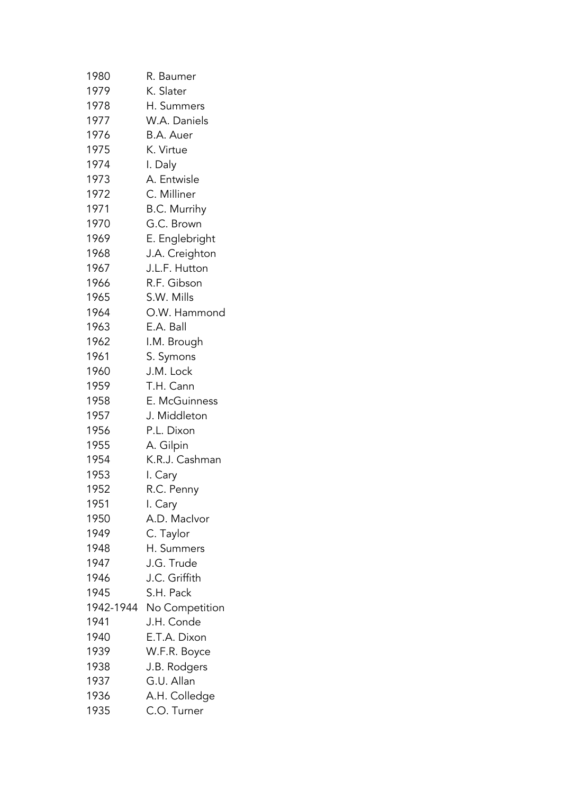| 1980      | R. Baumer           |
|-----------|---------------------|
| 1979      | K. Slater           |
| 1978      | H. Summers          |
| 1977      | W.A. Daniels        |
| 1976      | B.A. Auer           |
| 1975      | K. Virtue           |
| 1974      | I. Daly             |
| 1973      | A. Entwisle         |
| 1972      | C. Milliner         |
| 1971      | <b>B.C. Murrihy</b> |
| 1970      | G.C. Brown          |
| 1969      | E. Englebright      |
| 1968      | J.A. Creighton      |
| 1967      | J.L.F. Hutton       |
| 1966      | R.F. Gibson         |
| 1965      | S.W. Mills          |
| 1964      | O.W. Hammond        |
| 1963      | E.A. Ball           |
| 1962      | I.M. Brough         |
| 1961      | S. Symons           |
| 1960      | J.M. Lock           |
| 1959      | T.H. Cann           |
| 1958      | E. McGuinness       |
| 1957      | J. Middleton        |
| 1956      | P.L. Dixon          |
| 1955      | A. Gilpin           |
| 1954      | K.R.J. Cashman      |
| 1953      | I. Cary             |
| 1952      | R.C. Penny          |
| 1951      | I. Cary             |
| 1950      | A.D. Maclvor        |
| 1949      | C. Taylor           |
| 1948      | H. Summers          |
| 1947      | J.G. Trude          |
| 1946      | J.C. Griffith       |
| 1945      | S.H. Pack           |
| 1942-1944 | No Competition      |
| 1941      | J.H. Conde          |
| 1940      | E.T.A. Dixon        |
| 1939      | W.F.R. Boyce        |
| 1938      | J.B. Rodgers        |
| 1937      | G.U. Allan          |
| 1936      | A.H. Colledge       |
| 1935      | C.O. Turner         |